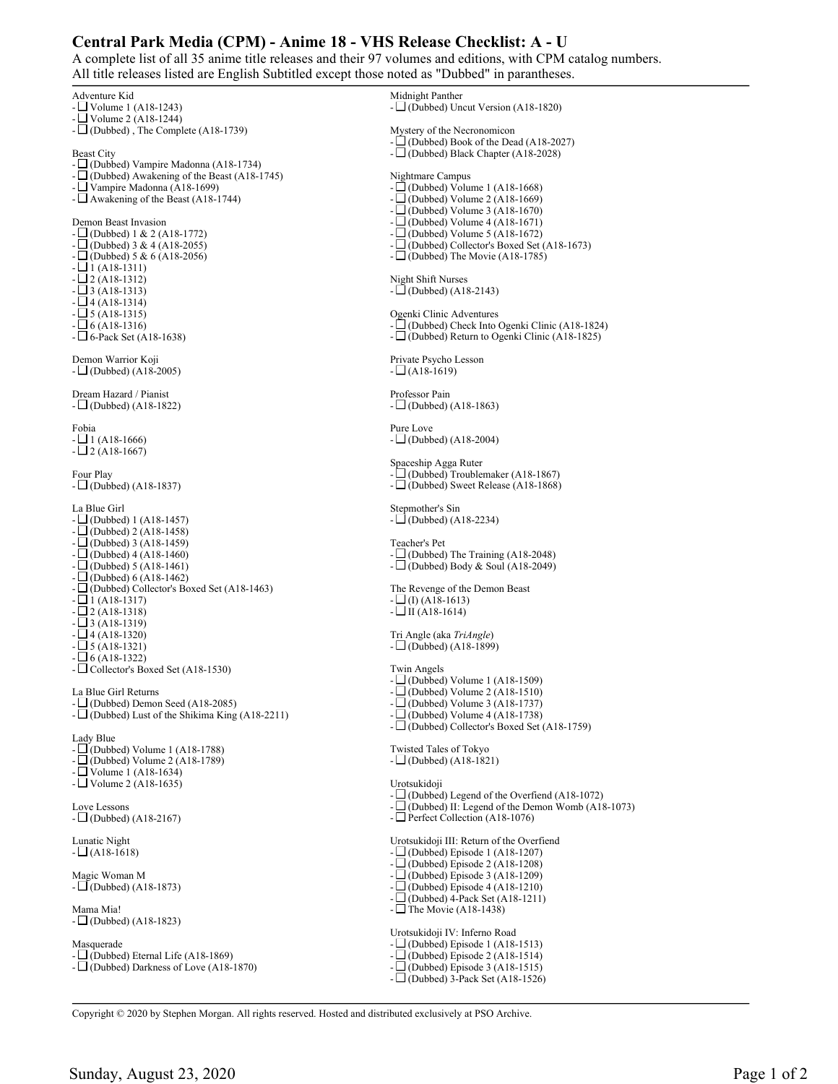## **Central Park Media (CPM) - Anime 18 - VHS Release Checklist: A - U**

A complete list of all 35 anime title releases and their 97 volumes and editions, with CPM catalog numbers. All title releases listed are English Subtitled except those noted as "Dubbed" in parantheses.

Adventure Kid - Volume 1 (A18-1243) - Volume 2 (A18-1244)  $-\Box$  (Dubbed), The Complete (A18-1739) Beast City - (Dubbed) Vampire Madonna (A18-1734) - (Dubbed) Awakening of the Beast (A18-1745) Vampire Madonna (A18-1699) -  $\Box$  Awakening of the Beast (A18-1744) Demon Beast Invasion - (Dubbed) 1 & 2 (A18-1772)  $-$  (Dubbed) 3 & 4 (A18-2055)  $-L$  (Dubbed) 5 & 6 (A18-2056)  $-L1$  (A18-1311)  $-$  2 (A18-1312)  $-L$  3 (A18-1313)  $- \Box$  4 (A18-1314)  $- \Box$  5 (A18-1315)  $- \Box 6$  (A18-1316) - 6-Pack Set (A18-1638) Demon Warrior Koji  $-\Box$  (Dubbed) (A18-2005) Dream Hazard / Pianist  $-\Box$  (Dubbed) (A18-1822) Fobia  $- \Box$  1 (A18-1666)  $- \Box$  2 (A18-1667) Four Play  $-\Box$  (Dubbed) (A18-1837) La Blue Girl  $-$  (Dubbed) 1 (A18-1457)  $-\Box$ (Dubbed) 2 (A18-1458)  $-L$  (Dubbed) 3 (A18-1459)  $-$  (Dubbed) 4 (A18-1460)  $- \Box$  (Dubbed) 5 (A18-1461)  $- \Box$ (Dubbed) 6 (A18-1462) - (Dubbed) Collector's Boxed Set (A18-1463)  $- \Box$  1 (A18-1317)  $\Box$  2 (A18-1318)  $-$  3 (A18-1319)  $- \Box$  4 (A18-1320)  $- \Box$  5 (A18-1321)  $- \Box$  6 (A18-1322) - Collector's Boxed Set (A18-1530) La Blue Girl Returns - (Dubbed) Demon Seed (A18-2085)  $-\Box$  (Dubbed) Lust of the Shikima King (A18-2211) Lady Blue - (Dubbed) Volume 1 (A18-1788) - (Dubbed) Volume 2 (A18-1789) - Volume 1 (A18-1634) - **Volume 2** (A18-1635) Love Lessons  $-\Box$  (Dubbed) (A18-2167) Lunatic Night  $- \Box$  (A18-1618) Magic Woman M  $-\Box$  (Dubbed) (A18-1873) Mama Mia!  $-\Box$  (Dubbed) (A18-1823) Masquerade - (Dubbed) Eternal Life (A18-1869) - (Dubbed) Darkness of Love (A18-1870) Midnight Panther - (Dubbed) Uncut Version (A18-1820) Mystery of the Necronomicon - (Dubbed) Book of the Dead (A18-2027) - (Dubbed) Black Chapter (A18-2028) Nightmare Campus - (Dubbed) Volume 1 (A18-1668) - (Dubbed) Volume 2 (A18-1669) - (Dubbed) Volume 3 (A18-1670)  $- \Box$ (Dubbed) Volume 4 (A18-1671) -  $\Box$  (Dubbed) Volume 5 (A18-1672)<br>-  $\Box$  (Dubbed) Collector's Boxed Set ( - (Dubbed) Collector's Boxed Set (A18-1673)  $-\Box$ (Dubbed) The Movie (A18-1785) Night Shift Nurses - (Dubbed) (A18-2143) Ogenki Clinic Adventures - (Dubbed) Check Into Ogenki Clinic (A18-1824) - (Dubbed) Return to Ogenki Clinic (A18-1825) Private Psycho Lesson  $- \Box$  (A18-1619) Professor Pain  $-\Box$  (Dubbed) (A18-1863) Pure Love  $-L$  (Dubbed) (A18-2004) Spaceship Agga Ruter - (Dubbed) Troublemaker (A18-1867) - (Dubbed) Sweet Release (A18-1868) Stepmother's Sin  $-\Box$  (Dubbed) (A18-2234) Teacher's Pet - (Dubbed) The Training (A18-2048)  $-\Box$  (Dubbed) Body & Soul (A18-2049) The Revenge of the Demon Beast  $-L$  (I) (A18-1613)  $-L \Pi (A18-1614)$ Tri Angle (aka *TriAngle*)  $-\Box$  (Dubbed) (A18-1899) Twin Angels - (Dubbed) Volume 1 (A18-1509) - (Dubbed) Volume 2 (A18-1510) - (Dubbed) Volume 3 (A18-1737)  $- \Box$  (Dubbed) Volume 4 (A18-1738) - (Dubbed) Collector's Boxed Set (A18-1759) Twisted Tales of Tokyo  $- \Box$  (Dubbed) (A18-1821) Urotsukidoji  $-\Box$  (Dubbed) Legend of the Overfiend (A18-1072)  $-L$  (Dubbed) II: Legend of the Demon Womb (A18-1073) - Perfect Collection (A18-1076) Urotsukidoji III: Return of the Overfiend  $-\Box$  (Dubbed) Episode 1 (A18-1207)  $-\Box$ (Dubbed) Episode 2 (A18-1208) - (Dubbed) Episode 3 (A18-1209) - (Dubbed) Episode 4 (A18-1210) - (Dubbed) 4-Pack Set (A18-1211) -  $\Box$  The Movie (A18-1438) Urotsukidoji IV: Inferno Road  $-\Box$  (Dubbed) Episode 1 (A18-1513) - (Dubbed) Episode 2 (A18-1514) - (Dubbed) Episode 3 (A18-1515)  $-\Box$ (Dubbed) 3-Pack Set (A18-1526)

Copyright © 2020 by Stephen Morgan. All rights reserved. Hosted and distributed exclusively at PSO Archive.